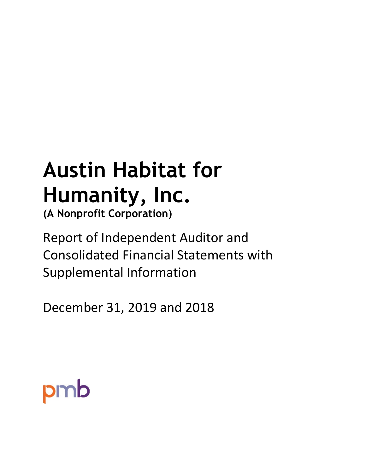## **Austin Habitat for Humanity, Inc.**

**(A Nonprofit Corporation)**

Report of Independent Auditor and Consolidated Financial Statements with Supplemental Information

December 31, 2019 and 2018

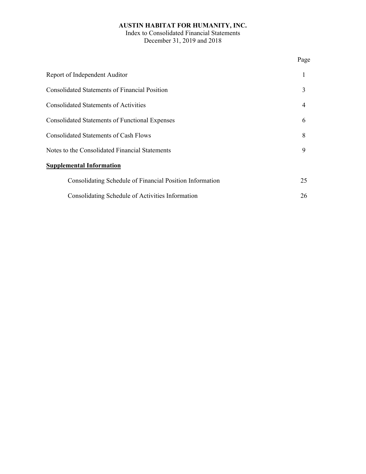Index to Consolidated Financial Statements December 31, 2019 and 2018

|                                                          | Page |
|----------------------------------------------------------|------|
| Report of Independent Auditor                            |      |
| <b>Consolidated Statements of Financial Position</b>     | 3    |
| <b>Consolidated Statements of Activities</b>             | 4    |
| <b>Consolidated Statements of Functional Expenses</b>    | 6    |
| Consolidated Statements of Cash Flows                    | 8    |
| Notes to the Consolidated Financial Statements           | 9    |
| <b>Supplemental Information</b>                          |      |
| Consolidating Schedule of Financial Position Information | 25   |
| Consolidating Schedule of Activities Information         | 26   |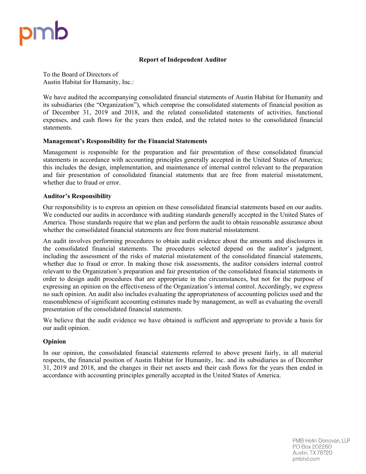#### **Report of Independent Auditor**

To the Board of Directors of Austin Habitat for Humanity, Inc.:

We have audited the accompanying consolidated financial statements of Austin Habitat for Humanity and its subsidiaries (the "Organization"), which comprise the consolidated statements of financial position as of December 31, 2019 and 2018, and the related consolidated statements of activities, functional expenses, and cash flows for the years then ended, and the related notes to the consolidated financial statements.

#### **Management's Responsibility for the Financial Statements**

Management is responsible for the preparation and fair presentation of these consolidated financial statements in accordance with accounting principles generally accepted in the United States of America; this includes the design, implementation, and maintenance of internal control relevant to the preparation and fair presentation of consolidated financial statements that are free from material misstatement, whether due to fraud or error.

#### **Auditor's Responsibility**

Our responsibility is to express an opinion on these consolidated financial statements based on our audits. We conducted our audits in accordance with auditing standards generally accepted in the United States of America. Those standards require that we plan and perform the audit to obtain reasonable assurance about whether the consolidated financial statements are free from material misstatement.

An audit involves performing procedures to obtain audit evidence about the amounts and disclosures in the consolidated financial statements. The procedures selected depend on the auditor's judgment, including the assessment of the risks of material misstatement of the consolidated financial statements, whether due to fraud or error. In making those risk assessments, the auditor considers internal control relevant to the Organization's preparation and fair presentation of the consolidated financial statements in order to design audit procedures that are appropriate in the circumstances, but not for the purpose of expressing an opinion on the effectiveness of the Organization's internal control. Accordingly, we express no such opinion. An audit also includes evaluating the appropriateness of accounting policies used and the reasonableness of significant accounting estimates made by management, as well as evaluating the overall presentation of the consolidated financial statements.

We believe that the audit evidence we have obtained is sufficient and appropriate to provide a basis for our audit opinion.

#### **Opinion**

In our opinion, the consolidated financial statements referred to above present fairly, in all material respects, the financial position of Austin Habitat for Humanity, Inc. and its subsidiaries as of December 31, 2019 and 2018, and the changes in their net assets and their cash flows for the years then ended in accordance with accounting principles generally accepted in the United States of America.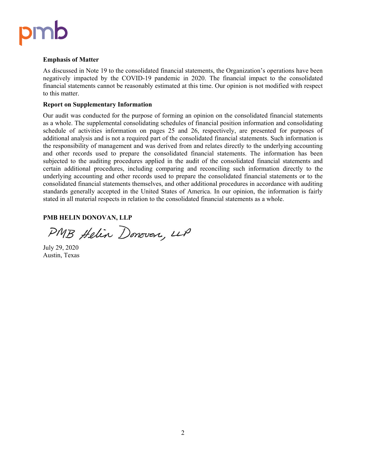# pmb

#### **Emphasis of Matter**

As discussed in Note 19 to the consolidated financial statements, the Organization's operations have been negatively impacted by the COVID-19 pandemic in 2020. The financial impact to the consolidated financial statements cannot be reasonably estimated at this time. Our opinion is not modified with respect to this matter.

#### **Report on Supplementary Information**

Our audit was conducted for the purpose of forming an opinion on the consolidated financial statements as a whole. The supplemental consolidating schedules of financial position information and consolidating schedule of activities information on pages 25 and 26, respectively, are presented for purposes of additional analysis and is not a required part of the consolidated financial statements. Such information is the responsibility of management and was derived from and relates directly to the underlying accounting and other records used to prepare the consolidated financial statements. The information has been subjected to the auditing procedures applied in the audit of the consolidated financial statements and certain additional procedures, including comparing and reconciling such information directly to the underlying accounting and other records used to prepare the consolidated financial statements or to the consolidated financial statements themselves, and other additional procedures in accordance with auditing standards generally accepted in the United States of America. In our opinion, the information is fairly stated in all material respects in relation to the consolidated financial statements as a whole.

#### **PMB HELIN DONOVAN, LLP**

PMB Helin Donovan, LLP

July 29, 2020 Austin, Texas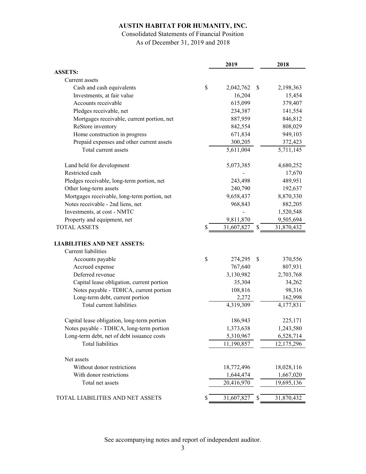## Consolidated Statements of Financial Position

As of December 31, 2019 and 2018

|                                              | 2019             |               | 2018       |
|----------------------------------------------|------------------|---------------|------------|
| <b>ASSETS:</b>                               |                  |               |            |
| Current assets                               |                  |               |            |
| Cash and cash equivalents                    | \$<br>2,042,762  | \$            | 2,198,363  |
| Investments, at fair value                   | 16,204           |               | 15,454     |
| Accounts receivable                          | 615,099          |               | 379,407    |
| Pledges receivable, net                      | 234,387          |               | 141,554    |
| Mortgages receivable, current portion, net   | 887,959          |               | 846,812    |
| ReStore inventory                            | 842,554          |               | 808,029    |
| Home construction in progress                | 671,834          |               | 949,103    |
| Prepaid expenses and other current assets    | 300,205          |               | 372,423    |
| Total current assets                         | 5,611,004        |               | 5,711,145  |
| Land held for development                    | 5,073,385        |               | 4,680,252  |
| Restricted cash                              |                  |               | 17,670     |
| Pledges receivable, long-term portion, net   | 243,498          |               | 489,951    |
| Other long-term assets                       | 240,790          |               | 192,637    |
| Mortgages receivable, long-term portion, net | 9,658,437        |               | 8,870,330  |
| Notes receivable - 2nd liens, net            | 968,843          |               | 882,205    |
| Investments, at cost - NMTC                  |                  |               | 1,520,548  |
| Property and equipment, net                  | 9,811,870        |               | 9,505,694  |
| <b>TOTAL ASSETS</b>                          | 31,607,827       | \$            | 31,870,432 |
| <b>LIABILITIES AND NET ASSETS:</b>           |                  |               |            |
| Current liabilities                          |                  |               |            |
| Accounts payable                             | \$<br>274,295    | <sup>\$</sup> | 370,556    |
| Accrued expense                              | 767,640          |               | 807,931    |
| Deferred revenue                             | 3,130,982        |               | 2,703,768  |
| Capital lease obligation, current portion    | 35,304           |               | 34,262     |
| Notes payable - TDHCA, current portion       | 108,816          |               | 98,316     |
| Long-term debt, current portion              | 2,272            |               | 162,998    |
| Total current liabilities                    | 4,319,309        |               | 4,177,831  |
| Capital lease obligation, long-term portion  | 186,943          |               | 225,171    |
| Notes payable - TDHCA, long-term portion     | 1,373,638        |               | 1,243,580  |
| Long-term debt, net of debt issuance costs   | 5,310,967        |               | 6,528,714  |
| Total liabilities                            | 11,190,857       |               | 12,175,296 |
| Net assets                                   |                  |               |            |
| Without donor restrictions                   | 18,772,496       |               | 18,028,116 |
| With donor restrictions                      | 1,644,474        |               | 1,667,020  |
| Total net assets                             | 20,416,970       |               | 19,695,136 |
| TOTAL LIABILITIES AND NET ASSETS             | \$<br>31,607,827 | \$            | 31,870,432 |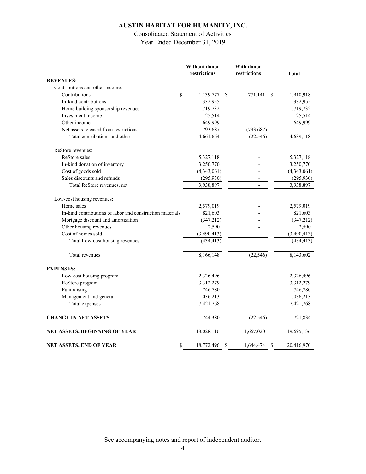## Consolidated Statement of Activities

Year Ended December 31, 2019

|                                                           | Without donor<br>restrictions | <b>With donor</b><br>restrictions | Total       |
|-----------------------------------------------------------|-------------------------------|-----------------------------------|-------------|
| <b>REVENUES:</b>                                          |                               |                                   |             |
| Contributions and other income:                           |                               |                                   |             |
| \$<br>Contributions                                       | 1,139,777                     | -S<br>771,141<br>S                | 1,910,918   |
| In-kind contributions                                     | 332,955                       |                                   | 332,955     |
| Home building sponsorship revenues                        | 1,719,732                     |                                   | 1,719,732   |
| Investment income                                         | 25,514                        |                                   | 25,514      |
| Other income                                              | 649,999                       |                                   | 649,999     |
| Net assets released from restrictions                     | 793,687                       | (793, 687)                        |             |
| Total contributions and other                             | 4,661,664                     | (22, 546)                         | 4,639,118   |
| ReStore revenues:                                         |                               |                                   |             |
| ReStore sales                                             | 5,327,118                     |                                   | 5,327,118   |
| In-kind donation of inventory                             | 3,250,770                     |                                   | 3,250,770   |
| Cost of goods sold                                        | (4,343,061)                   |                                   | (4,343,061) |
| Sales discounts and refunds                               | (295, 930)                    |                                   | (295, 930)  |
| Total ReStore revenues, net                               | 3,938,897                     |                                   | 3,938,897   |
| Low-cost housing revenues:                                |                               |                                   |             |
| Home sales                                                | 2,579,019                     |                                   | 2,579,019   |
| In-kind contributions of labor and construction materials | 821,603                       |                                   | 821,603     |
| Mortgage discount and amortization                        | (347,212)                     |                                   | (347,212)   |
| Other housing revenues                                    | 2,590                         |                                   | 2,590       |
| Cost of homes sold                                        | (3,490,413)                   |                                   | (3,490,413) |
| Total Low-cost housing revenues                           | (434, 413)                    |                                   | (434, 413)  |
| Total revenues                                            | 8,166,148                     | (22, 546)                         | 8,143,602   |
| <b>EXPENSES:</b>                                          |                               |                                   |             |
| Low-cost housing program                                  | 2,326,496                     |                                   | 2,326,496   |
| ReStore program                                           | 3,312,279                     |                                   | 3,312,279   |
| Fundraising                                               | 746,780                       |                                   | 746,780     |
| Management and general                                    | 1,036,213                     |                                   | 1,036,213   |
| Total expenses                                            | 7,421,768                     |                                   | 7,421,768   |
| <b>CHANGE IN NET ASSETS</b>                               | 744,380                       | (22, 546)                         | 721,834     |
| NET ASSETS, BEGINNING OF YEAR                             | 18,028,116                    | 1,667,020                         | 19,695,136  |
| \$<br>NET ASSETS, END OF YEAR                             | 18,772,496 \$                 | 1,644,474<br><sup>\$</sup>        | 20,416,970  |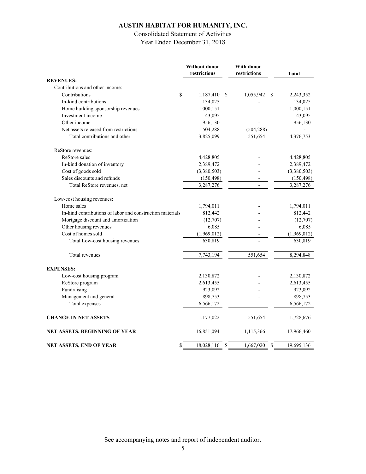## Consolidated Statement of Activities

Year Ended December 31, 2018

|                                                           | Without donor<br>restrictions | With donor<br>restrictions | <b>Total</b>                |
|-----------------------------------------------------------|-------------------------------|----------------------------|-----------------------------|
| <b>REVENUES:</b>                                          |                               |                            |                             |
| Contributions and other income:                           |                               |                            |                             |
| Contributions<br>\$                                       | 1,187,410                     | 1,055,942<br>\$            | S<br>2,243,352              |
| In-kind contributions                                     | 134,025                       |                            | 134,025                     |
| Home building sponsorship revenues                        | 1,000,151                     |                            | 1,000,151                   |
| Investment income                                         | 43,095                        |                            | 43,095                      |
| Other income                                              | 956,130                       |                            | 956,130                     |
| Net assets released from restrictions                     | 504,288                       | (504, 288)                 |                             |
| Total contributions and other                             | 3,825,099                     | 551,654                    | 4,376,753                   |
| ReStore revenues:                                         |                               |                            |                             |
| ReStore sales                                             | 4,428,805                     |                            | 4,428,805                   |
| In-kind donation of inventory                             | 2,389,472                     |                            | 2,389,472                   |
| Cost of goods sold                                        | (3,380,503)                   |                            | (3,380,503)                 |
| Sales discounts and refunds                               | (150, 498)                    |                            | (150, 498)                  |
| Total ReStore revenues, net                               | 3,287,276                     |                            | 3,287,276                   |
| Low-cost housing revenues:                                |                               |                            |                             |
| Home sales                                                | 1,794,011                     |                            | 1,794,011                   |
| In-kind contributions of labor and construction materials | 812,442                       |                            | 812,442                     |
| Mortgage discount and amortization                        | (12,707)                      |                            | (12,707)                    |
| Other housing revenues                                    | 6,085                         |                            | 6,085                       |
| Cost of homes sold                                        | (1,969,012)                   |                            | (1,969,012)                 |
| Total Low-cost housing revenues                           | 630,819                       |                            | 630,819                     |
| Total revenues                                            | 7,743,194                     | 551,654                    | 8,294,848                   |
| <b>EXPENSES:</b>                                          |                               |                            |                             |
| Low-cost housing program                                  | 2,130,872                     |                            | 2,130,872                   |
| ReStore program                                           | 2,613,455                     |                            | 2,613,455                   |
| Fundraising                                               | 923,092                       |                            | 923,092                     |
| Management and general                                    | 898,753                       |                            | 898,753                     |
| Total expenses                                            | 6,566,172                     |                            | 6,566,172                   |
| <b>CHANGE IN NET ASSETS</b>                               | 1,177,022                     | 551,654                    | 1,728,676                   |
| NET ASSETS, BEGINNING OF YEAR                             | 16,851,094                    | 1,115,366                  | 17,966,460                  |
| \$<br>NET ASSETS, END OF YEAR                             | 18,028,116                    | 1,667,020<br><sup>\$</sup> | <sup>\$</sup><br>19,695,136 |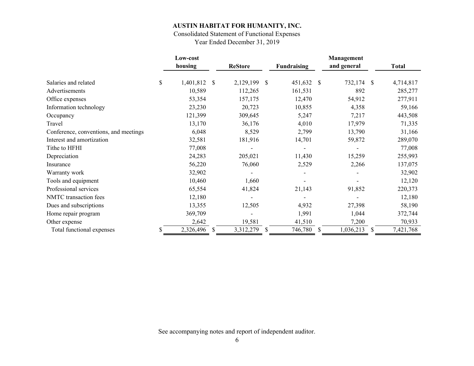## Consolidated Statement of Functional Expenses

Year Ended December 31, 2019

|                                       |              | Low-cost  |    |                |              |                              |               | Management  |   |           |
|---------------------------------------|--------------|-----------|----|----------------|--------------|------------------------------|---------------|-------------|---|-----------|
|                                       |              | housing   |    | <b>ReStore</b> |              | <b>Fundraising</b>           |               | and general |   | Total     |
| Salaries and related                  | $\mathbb{S}$ | 1,401,812 | S  | 2,129,199      | <sup>S</sup> | 451,632                      | <sup>\$</sup> | 732,174 \$  |   | 4,714,817 |
| Advertisements                        |              | 10,589    |    | 112,265        |              | 161,531                      |               | 892         |   | 285,277   |
| Office expenses                       |              | 53,354    |    | 157,175        |              | 12,470                       |               | 54,912      |   | 277,911   |
| Information technology                |              | 23,230    |    | 20,723         |              | 10,855                       |               | 4,358       |   | 59,166    |
| Occupancy                             |              | 121,399   |    | 309,645        |              | 5,247                        |               | 7,217       |   | 443,508   |
| Travel                                |              | 13,170    |    | 36,176         |              | 4,010                        |               | 17,979      |   | 71,335    |
| Conference, conventions, and meetings |              | 6,048     |    | 8,529          |              | 2,799                        |               | 13,790      |   | 31,166    |
| Interest and amortization             |              | 32,581    |    | 181,916        |              | 14,701                       |               | 59,872      |   | 289,070   |
| Tithe to HFHI                         |              | 77,008    |    |                |              | $\qquad \qquad \blacksquare$ |               |             |   | 77,008    |
| Depreciation                          |              | 24,283    |    | 205,021        |              | 11,430                       |               | 15,259      |   | 255,993   |
| Insurance                             |              | 56,220    |    | 76,060         |              | 2,529                        |               | 2,266       |   | 137,075   |
| Warranty work                         |              | 32,902    |    |                |              |                              |               |             |   | 32,902    |
| Tools and equipment                   |              | 10,460    |    | 1,660          |              |                              |               |             |   | 12,120    |
| Professional services                 |              | 65,554    |    | 41,824         |              | 21,143                       |               | 91,852      |   | 220,373   |
| NMTC transaction fees                 |              | 12,180    |    |                |              | $\overline{\phantom{0}}$     |               |             |   | 12,180    |
| Dues and subscriptions                |              | 13,355    |    | 12,505         |              | 4,932                        |               | 27,398      |   | 58,190    |
| Home repair program                   |              | 369,709   |    |                |              | 1,991                        |               | 1,044       |   | 372,744   |
| Other expense                         |              | 2,642     |    | 19,581         |              | 41,510                       |               | 7,200       |   | 70,933    |
| Total functional expenses             |              | 2,326,496 | \$ | 3,312,279      | <sup>S</sup> | 746,780                      | <sup>S</sup>  | 1,036,213   | S | 7,421,768 |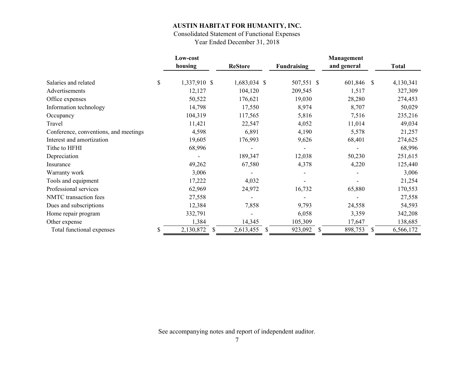## Consolidated Statement of Functional Expenses

Year Ended December 31, 2018

|                                       | Low-cost           |                 |                         | Management    |              |              |
|---------------------------------------|--------------------|-----------------|-------------------------|---------------|--------------|--------------|
|                                       | housing            | <b>ReStore</b>  | <b>Fundraising</b>      | and general   |              | <b>Total</b> |
| Salaries and related                  | \$<br>1,337,910 \$ | 1,683,034 \$    | 507,551 \$              | 601,846 \$    |              | 4,130,341    |
| Advertisements                        | 12,127             | 104,120         | 209,545                 | 1,517         |              | 327,309      |
| Office expenses                       | 50,522             | 176,621         | 19,030                  | 28,280        |              | 274,453      |
| Information technology                | 14,798             | 17,550          | 8,974                   | 8,707         |              | 50,029       |
| Occupancy                             | 104,319            | 117,565         | 5,816                   | 7,516         |              | 235,216      |
| Travel                                | 11,421             | 22,547          | 4,052                   | 11,014        |              | 49,034       |
| Conference, conventions, and meetings | 4,598              | 6,891           | 4,190                   | 5,578         |              | 21,257       |
| Interest and amortization             | 19,605             | 176,993         | 9,626                   | 68,401        |              | 274,625      |
| Tithe to HFHI                         | 68,996             |                 |                         |               |              | 68,996       |
| Depreciation                          |                    | 189,347         | 12,038                  | 50,230        |              | 251,615      |
| Insurance                             | 49,262             | 67,580          | 4,378                   | 4,220         |              | 125,440      |
| Warranty work                         | 3,006              |                 |                         |               |              | 3,006        |
| Tools and equipment                   | 17,222             | 4,032           |                         |               |              | 21,254       |
| Professional services                 | 62,969             | 24,972          | 16,732                  | 65,880        |              | 170,553      |
| NMTC transaction fees                 | 27,558             |                 |                         |               |              | 27,558       |
| Dues and subscriptions                | 12,384             | 7,858           | 9,793                   | 24,558        |              | 54,593       |
| Home repair program                   | 332,791            |                 | 6,058                   | 3,359         |              | 342,208      |
| Other expense                         | 1,384              | 14,345          | 105,309                 | 17,647        |              | 138,685      |
| Total functional expenses             | \$<br>2,130,872    | \$<br>2,613,455 | 923,092<br><sup>S</sup> | \$<br>898,753 | <sup>S</sup> | 6,566,172    |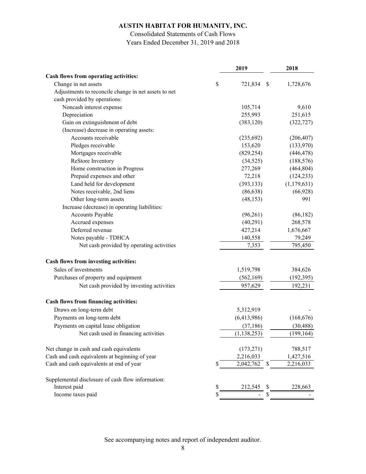### Consolidated Statements of Cash Flows Years Ended December 31, 2019 and 2018

|                                                      | 2019                | 2018          |
|------------------------------------------------------|---------------------|---------------|
| Cash flows from operating activities:                |                     |               |
| Change in net assets                                 | \$<br>721,834<br>\$ | 1,728,676     |
| Adjustments to reconcile change in net assets to net |                     |               |
| cash provided by operations:                         |                     |               |
| Noncash interest expense                             | 105,714             | 9,610         |
| Depreciation                                         | 255,993             | 251,615       |
| Gain on extinguishment of debt                       | (383, 120)          | (322, 727)    |
| (Increase) decrease in operating assets:             |                     |               |
| Accounts receivable                                  | (235, 692)          | (206, 407)    |
| Pledges receivable                                   | 153,620             | (133,970)     |
| Mortgages receivable                                 | (829, 254)          | (446, 478)    |
| ReStore Inventory                                    | (34, 525)           | (188, 576)    |
| Home construction in Progress                        | 277,269             | (464, 804)    |
| Prepaid expenses and other                           | 72,218              | (124, 233)    |
| Land held for development                            | (393, 133)          | (1, 179, 631) |
| Notes receivable, 2nd liens                          | (86, 638)           | (66, 928)     |
| Other long-term assets                               | (48, 153)           | 991           |
| Increase (decrease) in operating liabilities:        |                     |               |
| <b>Accounts Payable</b>                              | (96,261)            | (86,182)      |
| Accrued expenses                                     | (40,291)            | 268,578       |
| Deferred revenue                                     | 427,214             | 1,676,667     |
| Notes payable - TDHCA                                | 140,558             | 79,249        |
| Net cash provided by operating activities            | 7,353               | 795,450       |
| Cash flows from investing activities:                |                     |               |
| Sales of investments                                 | 1,519,798           | 384,626       |
| Purchases of property and equipment                  | (562, 169)          | (192, 395)    |
| Net cash provided by investing activities            | 957,629             | 192,231       |
| Cash flows from financing activities:                |                     |               |
| Draws on long-term debt                              | 5,312,919           |               |
| Payments on long-term debt                           | (6,413,986)         | (168, 676)    |
| Payments on capital lease obligation                 | (37, 186)           | (30, 488)     |
| Net cash used in financing activities                | (1, 138, 253)       | (199, 164)    |
| Net change in cash and cash equivalents              | (173, 271)          | 788,517       |
| Cash and cash equivalents at beginning of year       | 2,216,033           | 1,427,516     |
| Cash and cash equivalents at end of year             | \$<br>2,042,762     | 2,216,033     |
| Supplemental disclosure of cash flow information:    |                     |               |
| Interest paid                                        | \$<br>212,545<br>S  | 228,663       |
| Income taxes paid                                    |                     |               |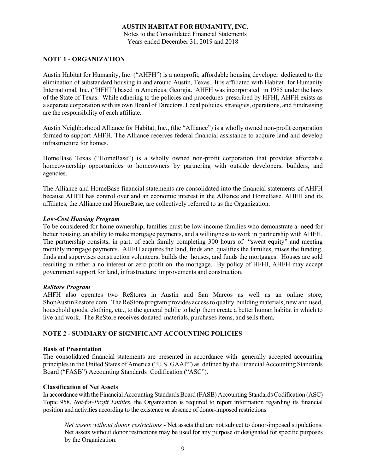Notes to the Consolidated Financial Statements Years ended December 31, 2019 and 2018

#### **NOTE 1 - ORGANIZATION**

Austin Habitat for Humanity, Inc. ("AHFH") is a nonprofit, affordable housing developer dedicated to the elimination of substandard housing in and around Austin, Texas. It is affiliated with Habitat for Humanity International, Inc. ("HFHI") based in Americus, Georgia. AHFH was incorporated in 1985 under the laws of the State of Texas. While adhering to the policies and procedures prescribed by HFHI, AHFH exists as a separate corporation with its own Board of Directors. Local policies, strategies, operations, and fundraising are the responsibility of each affiliate.

Austin Neighborhood Alliance for Habitat, Inc., (the "Alliance") is a wholly owned non-profit corporation formed to support AHFH. The Alliance receives federal financial assistance to acquire land and develop infrastructure for homes.

HomeBase Texas ("HomeBase") is a wholly owned non-profit corporation that provides affordable homeownership opportunities to homeowners by partnering with outside developers, builders, and agencies.

The Alliance and HomeBase financial statements are consolidated into the financial statements of AHFH because AHFH has control over and an economic interest in the Alliance and HomeBase. AHFH and its affiliates, the Alliance and HomeBase, are collectively referred to as the Organization.

#### *Low-Cost Housing Program*

To be considered for home ownership, families must be low-income families who demonstrate a need for better housing, an ability to make mortgage payments, and a willingness to work in partnership with AHFH. The partnership consists, in part, of each family completing 300 hours of "sweat equity" and meeting monthly mortgage payments. AHFH acquires the land, finds and qualifies the families, raises the funding, finds and supervises construction volunteers, builds the houses, and funds the mortgages. Houses are sold resulting in either a no interest or zero profit on the mortgage. By policy of HFHI, AHFH may accept government support for land, infrastructure improvements and construction.

#### *ReStore Program*

AHFH also operates two ReStores in Austin and San Marcos as well as an online store, ShopAustinRestore.com. The ReStore program provides access to quality building materials, new and used, household goods, clothing, etc., to the general public to help them create a better human habitat in which to live and work. The ReStore receives donated materials, purchases items, and sells them.

#### **NOTE 2 - SUMMARY OF SIGNIFICANT ACCOUNTING POLICIES**

#### **Basis of Presentation**

The consolidated financial statements are presented in accordance with generally accepted accounting principles in the United States of America ("U.S. GAAP") as defined by the Financial Accounting Standards Board ("FASB") Accounting Standards Codification ("ASC").

#### **Classification of Net Assets**

In accordance with the Financial Accounting Standards Board (FASB) Accounting Standards Codification (ASC) Topic 958, *Not-for-Profit Entities*, the Organization is required to report information regarding its financial position and activities according to the existence or absence of donor-imposed restrictions.

*Net assets without donor restrictions -* Net assets that are not subject to donor-imposed stipulations. Net assets without donor restrictions may be used for any purpose or designated for specific purposes by the Organization.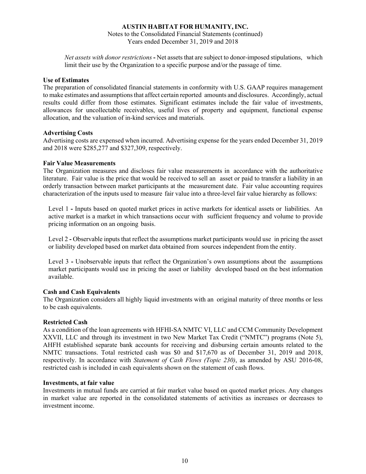Notes to the Consolidated Financial Statements (continued) Years ended December 31, 2019 and 2018

*Net assets with donor restrictions* **-** Net assets that are subject to donor-imposed stipulations, which limit their use by the Organization to a specific purpose and/or the passage of time.

#### **Use of Estimates**

The preparation of consolidated financial statements in conformity with U.S. GAAP requires management to make estimates and assumptions that affect certain reported amounts and disclosures. Accordingly, actual results could differ from those estimates. Significant estimates include the fair value of investments, allowances for uncollectable receivables, useful lives of property and equipment, functional expense allocation, and the valuation of in-kind services and materials.

#### **Advertising Costs**

Advertising costs are expensed when incurred. Advertising expense for the years ended December 31, 2019 and 2018 were \$285,277 and \$327,309, respectively.

#### **Fair Value Measurements**

The Organization measures and discloses fair value measurements in accordance with the authoritative literature. Fair value is the price that would be received to sell an asset or paid to transfer a liability in an orderly transaction between market participants at the measurement date. Fair value accounting requires characterization of the inputs used to measure fair value into a three-level fair value hierarchy as follows:

Level 1 - Inputs based on quoted market prices in active markets for identical assets or liabilities. An active market is a market in which transactions occur with sufficient frequency and volume to provide pricing information on an ongoing basis.

Level 2 - Observable inputs that reflect the assumptions market participants would use in pricing the asset or liability developed based on market data obtained from sources independent from the entity.

Level 3 **-** Unobservable inputs that reflect the Organization's own assumptions about the assumptions market participants would use in pricing the asset or liability developed based on the best information available.

#### **Cash and Cash Equivalents**

The Organization considers all highly liquid investments with an original maturity of three months or less to be cash equivalents.

#### **Restricted Cash**

As a condition of the loan agreements with HFHI-SA NMTC VI, LLC and CCM Community Development XXVII, LLC and through its investment in two New Market Tax Credit ("NMTC") programs (Note 5), AHFH established separate bank accounts for receiving and disbursing certain amounts related to the NMTC transactions. Total restricted cash was \$0 and \$17,670 as of December 31, 2019 and 2018, respectively. In accordance with *Statement of Cash Flows (Topic 230)*, as amended by ASU 2016-08, restricted cash is included in cash equivalents shown on the statement of cash flows.

#### **Investments, at fair value**

Investments in mutual funds are carried at fair market value based on quoted market prices. Any changes in market value are reported in the consolidated statements of activities as increases or decreases to investment income.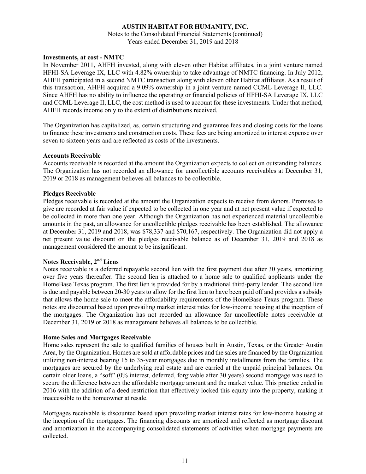Notes to the Consolidated Financial Statements (continued) Years ended December 31, 2019 and 2018

#### **Investments, at cost - NMTC**

In November 2011, AHFH invested, along with eleven other Habitat affiliates, in a joint venture named HFHI-SA Leverage IX, LLC with 4.82% ownership to take advantage of NMTC financing. In July 2012, AHFH participated in a second NMTC transaction along with eleven other Habitat affiliates. As a result of this transaction, AHFH acquired a 9.09% ownership in a joint venture named CCML Leverage II, LLC. Since AHFH has no ability to influence the operating or financial policies of HFHI-SA Leverage IX, LLC and CCML Leverage II, LLC, the cost method is used to account for these investments. Under that method, AHFH records income only to the extent of distributions received.

The Organization has capitalized, as, certain structuring and guarantee fees and closing costs for the loans to finance these investments and construction costs. These fees are being amortized to interest expense over seven to sixteen years and are reflected as costs of the investments.

#### **Accounts Receivable**

Accounts receivable is recorded at the amount the Organization expects to collect on outstanding balances. The Organization has not recorded an allowance for uncollectible accounts receivables at December 31, 2019 or 2018 as management believes all balances to be collectible.

#### **Pledges Receivable**

Pledges receivable is recorded at the amount the Organization expects to receive from donors. Promises to give are recorded at fair value if expected to be collected in one year and at net present value if expected to be collected in more than one year. Although the Organization has not experienced material uncollectible amounts in the past, an allowance for uncollectible pledges receivable has been established. The allowance at December 31, 2019 and 2018, was \$78,337 and \$70,167, respectively. The Organization did not apply a net present value discount on the pledges receivable balance as of December 31, 2019 and 2018 as management considered the amount to be insignificant.

#### **Notes Receivable, 2nd Liens**

Notes receivable is a deferred repayable second lien with the first payment due after 30 years, amortizing over five years thereafter. The second lien is attached to a home sale to qualified applicants under the HomeBase Texas program. The first lien is provided for by a traditional third-party lender. The second lien is due and payable between 20-30 years to allow for the first lien to have been paid off and provides a subsidy that allows the home sale to meet the affordability requirements of the HomeBase Texas program. These notes are discounted based upon prevailing market interest rates for low-income housing at the inception of the mortgages. The Organization has not recorded an allowance for uncollectible notes receivable at December 31, 2019 or 2018 as management believes all balances to be collectible.

#### **Home Sales and Mortgages Receivable**

Home sales represent the sale to qualified families of houses built in Austin, Texas, or the Greater Austin Area, by the Organization. Homes are sold at affordable prices and the sales are financed by the Organization utilizing non-interest bearing 15 to 35-year mortgages due in monthly installments from the families. The mortgages are secured by the underlying real estate and are carried at the unpaid principal balances. On certain older loans, a "soft" (0% interest, deferred, forgivable after 30 years) second mortgage was used to secure the difference between the affordable mortgage amount and the market value. This practice ended in 2016 with the addition of a deed restriction that effectively locked this equity into the property, making it inaccessible to the homeowner at resale.

Mortgages receivable is discounted based upon prevailing market interest rates for low-income housing at the inception of the mortgages. The financing discounts are amortized and reflected as mortgage discount and amortization in the accompanying consolidated statements of activities when mortgage payments are collected.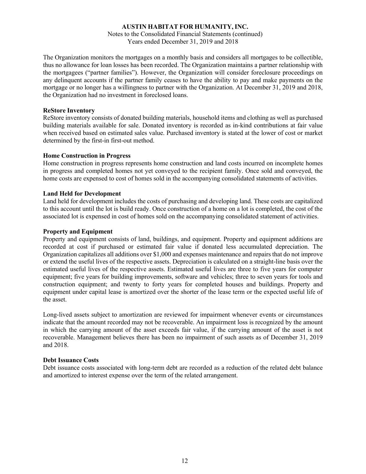Notes to the Consolidated Financial Statements (continued) Years ended December 31, 2019 and 2018

The Organization monitors the mortgages on a monthly basis and considers all mortgages to be collectible, thus no allowance for loan losses has been recorded. The Organization maintains a partner relationship with the mortgagees ("partner families"). However, the Organization will consider foreclosure proceedings on any delinquent accounts if the partner family ceases to have the ability to pay and make payments on the mortgage or no longer has a willingness to partner with the Organization. At December 31, 2019 and 2018, the Organization had no investment in foreclosed loans.

#### **ReStore Inventory**

ReStore inventory consists of donated building materials, household items and clothing as well as purchased building materials available for sale. Donated inventory is recorded as in-kind contributions at fair value when received based on estimated sales value. Purchased inventory is stated at the lower of cost or market determined by the first-in first-out method.

#### **Home Construction in Progress**

Home construction in progress represents home construction and land costs incurred on incomplete homes in progress and completed homes not yet conveyed to the recipient family. Once sold and conveyed, the home costs are expensed to cost of homes sold in the accompanying consolidated statements of activities.

#### **Land Held for Development**

Land held for development includes the costs of purchasing and developing land. These costs are capitalized to this account until the lot is build ready. Once construction of a home on a lot is completed, the cost of the associated lot is expensed in cost of homes sold on the accompanying consolidated statement of activities.

#### **Property and Equipment**

Property and equipment consists of land, buildings, and equipment. Property and equipment additions are recorded at cost if purchased or estimated fair value if donated less accumulated depreciation. The Organization capitalizes all additions over \$1,000 and expenses maintenance and repairs that do not improve or extend the useful lives of the respective assets. Depreciation is calculated on a straight-line basis over the estimated useful lives of the respective assets. Estimated useful lives are three to five years for computer equipment; five years for building improvements, software and vehicles; three to seven years for tools and construction equipment; and twenty to forty years for completed houses and buildings. Property and equipment under capital lease is amortized over the shorter of the lease term or the expected useful life of the asset.

Long-lived assets subject to amortization are reviewed for impairment whenever events or circumstances indicate that the amount recorded may not be recoverable. An impairment loss is recognized by the amount in which the carrying amount of the asset exceeds fair value, if the carrying amount of the asset is not recoverable. Management believes there has been no impairment of such assets as of December 31, 2019 and 2018.

#### **Debt Issuance Costs**

Debt issuance costs associated with long-term debt are recorded as a reduction of the related debt balance and amortized to interest expense over the term of the related arrangement.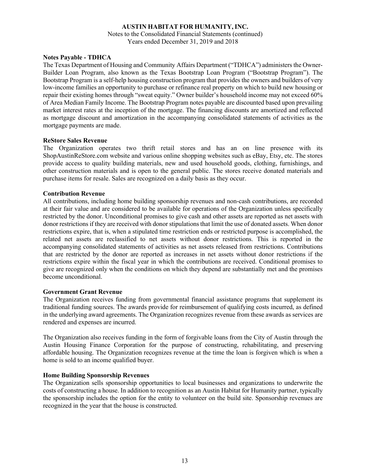Notes to the Consolidated Financial Statements (continued) Years ended December 31, 2019 and 2018

#### **Notes Payable - TDHCA**

The Texas Department of Housing and Community Affairs Department ("TDHCA") administers the Owner-Builder Loan Program, also known as the Texas Bootstrap Loan Program ("Bootstrap Program"). The Bootstrap Program is a self-help housing construction program that provides the owners and builders of very low-income families an opportunity to purchase or refinance real property on which to build new housing or repair their existing homes through "sweat equity." Owner builder's household income may not exceed 60% of Area Median Family Income. The Bootstrap Program notes payable are discounted based upon prevailing market interest rates at the inception of the mortgage. The financing discounts are amortized and reflected as mortgage discount and amortization in the accompanying consolidated statements of activities as the mortgage payments are made.

#### **ReStore Sales Revenue**

The Organization operates two thrift retail stores and has an on line presence with its ShopAustinReStore.com website and various online shopping websites such as eBay, Etsy, etc. The stores provide access to quality building materials, new and used household goods, clothing, furnishings, and other construction materials and is open to the general public. The stores receive donated materials and purchase items for resale. Sales are recognized on a daily basis as they occur.

#### **Contribution Revenue**

All contributions, including home building sponsorship revenues and non-cash contributions, are recorded at their fair value and are considered to be available for operations of the Organization unless specifically restricted by the donor. Unconditional promises to give cash and other assets are reported as net assets with donor restrictions if they are received with donor stipulations that limit the use of donated assets. When donor restrictions expire, that is, when a stipulated time restriction ends or restricted purpose is accomplished, the related net assets are reclassified to net assets without donor restrictions. This is reported in the accompanying consolidated statements of activities as net assets released from restrictions. Contributions that are restricted by the donor are reported as increases in net assets without donor restrictions if the restrictions expire within the fiscal year in which the contributions are received. Conditional promises to give are recognized only when the conditions on which they depend are substantially met and the promises become unconditional.

#### **Government Grant Revenue**

The Organization receives funding from governmental financial assistance programs that supplement its traditional funding sources. The awards provide for reimbursement of qualifying costs incurred, as defined in the underlying award agreements. The Organization recognizes revenue from these awards as services are rendered and expenses are incurred.

The Organization also receives funding in the form of forgivable loans from the City of Austin through the Austin Housing Finance Corporation for the purpose of constructing, rehabilitating, and preserving affordable housing. The Organization recognizes revenue at the time the loan is forgiven which is when a home is sold to an income qualified buyer.

#### **Home Building Sponsorship Revenues**

The Organization sells sponsorship opportunities to local businesses and organizations to underwrite the costs of constructing a house. In addition to recognition as an Austin Habitat for Humanity partner, typically the sponsorship includes the option for the entity to volunteer on the build site. Sponsorship revenues are recognized in the year that the house is constructed.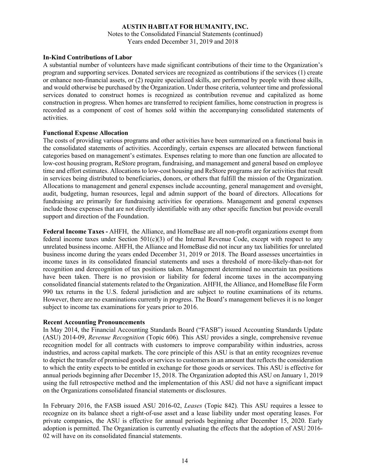Notes to the Consolidated Financial Statements (continued) Years ended December 31, 2019 and 2018

#### **In-Kind Contributions of Labor**

A substantial number of volunteers have made significant contributions of their time to the Organization's program and supporting services. Donated services are recognized as contributions if the services (1) create or enhance non-financial assets, or (2) require specialized skills, are performed by people with those skills, and would otherwise be purchased by the Organization. Under those criteria, volunteer time and professional services donated to construct homes is recognized as contribution revenue and capitalized as home construction in progress. When homes are transferred to recipient families, home construction in progress is recorded as a component of cost of homes sold within the accompanying consolidated statements of activities.

#### **Functional Expense Allocation**

The costs of providing various programs and other activities have been summarized on a functional basis in the consolidated statements of activities. Accordingly, certain expenses are allocated between functional categories based on management's estimates. Expenses relating to more than one function are allocated to low-cost housing program, ReStore program, fundraising, and management and general based on employee time and effort estimates. Allocations to low-cost housing and ReStore programs are for activities that result in services being distributed to beneficiaries, donors, or others that fulfill the mission of the Organization. Allocations to management and general expenses include accounting, general management and oversight, audit, budgeting, human resources, legal and admin support of the board of directors. Allocations for fundraising are primarily for fundraising activities for operations. Management and general expenses include those expenses that are not directly identifiable with any other specific function but provide overall support and direction of the Foundation.

**Federal Income Taxes -** AHFH, the Alliance, and HomeBase are all non-profit organizations exempt from federal income taxes under Section 501(c)(3) of the Internal Revenue Code, except with respect to any unrelated business income. AHFH, the Alliance and HomeBase did not incur any tax liabilities for unrelated business income during the years ended December 31, 2019 or 2018. The Board assesses uncertainties in income taxes in its consolidated financial statements and uses a threshold of more-likely-than-not for recognition and derecognition of tax positions taken. Management determined no uncertain tax positions have been taken. There is no provision or liability for federal income taxes in the accompanying consolidated financial statements related to the Organization. AHFH, the Alliance, and HomeBase file Form 990 tax returns in the U.S. federal jurisdiction and are subject to routine examinations of its returns. However, there are no examinations currently in progress. The Board's management believes it is no longer subject to income tax examinations for years prior to 2016.

#### **Recent Accounting Pronouncements**

In May 2014, the Financial Accounting Standards Board ("FASB") issued Accounting Standards Update (ASU) 2014-09, *Revenue Recognition* (Topic 606)*.* This ASU provides a single, comprehensive revenue recognition model for all contracts with customers to improve comparability within industries, across industries, and across capital markets. The core principle of this ASU is that an entity recognizes revenue to depict the transfer of promised goods or services to customers in an amount that reflects the consideration to which the entity expects to be entitled in exchange for those goods or services. This ASU is effective for annual periods beginning after December 15, 2018. The Organization adopted this ASU on January 1, 2019 using the full retrospective method and the implementation of this ASU did not have a significant impact on the Organizations consolidated financial statements or disclosures.

In February 2016, the FASB issued ASU 2016-02, *Leases* (Topic 842)*.* This ASU requires a lessee to recognize on its balance sheet a right-of-use asset and a lease liability under most operating leases. For private companies, the ASU is effective for annual periods beginning after December 15, 2020. Early adoption is permitted. The Organization is currently evaluating the effects that the adoption of ASU 2016- 02 will have on its consolidated financial statements.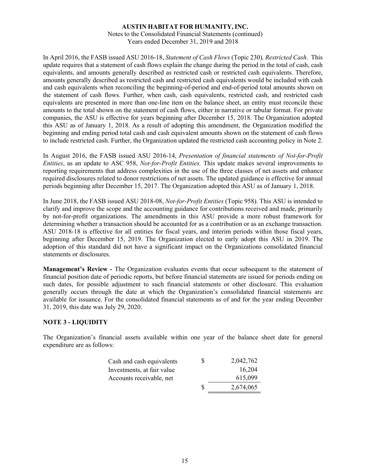Notes to the Consolidated Financial Statements (continued) Years ended December 31, 2019 and 2018

In April 2016, the FASB issued ASU 2016-18, *Statement of Cash Flows* (Topic 230)*, Restricted Cash*. This update requires that a statement of cash flows explain the change during the period in the total of cash, cash equivalents, and amounts generally described as restricted cash or restricted cash equivalents. Therefore, amounts generally described as restricted cash and restricted cash equivalents would be included with cash and cash equivalents when reconciling the beginning-of-period and end-of-period total amounts shown on the statement of cash flows. Further, when cash, cash equivalents, restricted cash, and restricted cash equivalents are presented in more than one-line item on the balance sheet, an entity must reconcile these amounts to the total shown on the statement of cash flows, either in narrative or tabular format. For private companies, the ASU is effective for years beginning after December 15, 2018. The Organization adopted this ASU as of January 1, 2018. As a result of adopting this amendment, the Organization modified the beginning and ending period total cash and cash equivalent amounts shown on the statement of cash flows to include restricted cash. Further, the Organization updated the restricted cash accounting policy in Note 2.

In August 2016, the FASB issued ASU 2016-14, *Presentation of financial statements of Not-for-Profit Entities*, as an update to ASC 958, *Not-for-Profit Entities.* This update makes several improvements to reporting requirements that address complexities in the use of the three classes of net assets and enhance required disclosures related to donor restrictions of net assets. The updated guidance is effective for annual periods beginning after December 15, 2017. The Organization adopted this ASU as of January 1, 2018.

In June 2018, the FASB issued ASU 2018-08, *Not-for-Profit Entities* (Topic 958). This ASU is intended to clarify and improve the scope and the accounting guidance for contributions received and made, primarily by not-for-profit organizations. The amendments in this ASU provide a more robust framework for determining whether a transaction should be accounted for as a contribution or as an exchange transaction. ASU 2018-18 is effective for all entities for fiscal years, and interim periods within those fiscal years, beginning after December 15, 2019. The Organization elected to early adopt this ASU in 2019. The adoption of this standard did not have a significant impact on the Organizations consolidated financial statements or disclosures.

**Management's Review -** The Organization evaluates events that occur subsequent to the statement of financial position date of periodic reports, but before financial statements are issued for periods ending on such dates, for possible adjustment to such financial statements or other disclosure. This evaluation generally occurs through the date at which the Organization's consolidated financial statements are available for issuance. For the consolidated financial statements as of and for the year ending December 31, 2019, this date was July 29, 2020.

#### **NOTE 3 - LIQUIDITY**

The Organization's financial assets available within one year of the balance sheet date for general expenditure are as follows:

| Cash and cash equivalents  | S | 2,042,762 |
|----------------------------|---|-----------|
| Investments, at fair value |   | 16,204    |
| Accounts receivable, net   |   | 615,099   |
|                            | S | 2,674,065 |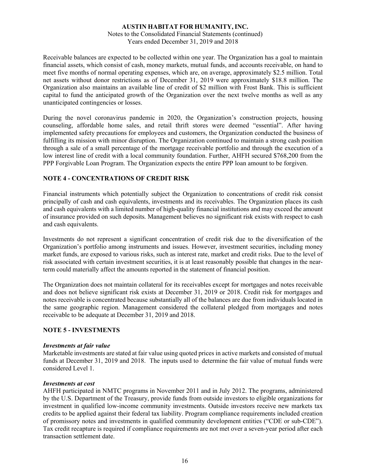#### Notes to the Consolidated Financial Statements (continued) Years ended December 31, 2019 and 2018

Receivable balances are expected to be collected within one year. The Organization has a goal to maintain financial assets, which consist of cash, money markets, mutual funds, and accounts receivable, on hand to meet five months of normal operating expenses, which are, on average, approximately \$2.5 million. Total net assets without donor restrictions as of December 31, 2019 were approximately \$18.8 million. The Organization also maintains an available line of credit of \$2 million with Frost Bank. This is sufficient capital to fund the anticipated growth of the Organization over the next twelve months as well as any unanticipated contingencies or losses.

During the novel coronavirus pandemic in 2020, the Organization's construction projects, housing counseling, affordable home sales, and retail thrift stores were deemed "essential". After having implemented safety precautions for employees and customers, the Organization conducted the business of fulfilling its mission with minor disruption. The Organization continued to maintain a strong cash position through a sale of a small percentage of the mortgage receivable portfolio and through the execution of a low interest line of credit with a local community foundation. Further, AHFH secured \$768,200 from the PPP Forgivable Loan Program. The Organization expects the entire PPP loan amount to be forgiven.

#### **NOTE 4 - CONCENTRATIONS OF CREDIT RISK**

Financial instruments which potentially subject the Organization to concentrations of credit risk consist principally of cash and cash equivalents, investments and its receivables. The Organization places its cash and cash equivalents with a limited number of high-quality financial institutions and may exceed the amount of insurance provided on such deposits. Management believes no significant risk exists with respect to cash and cash equivalents.

Investments do not represent a significant concentration of credit risk due to the diversification of the Organization's portfolio among instruments and issues. However, investment securities, including money market funds, are exposed to various risks, such as interest rate, market and credit risks. Due to the level of risk associated with certain investment securities, it is at least reasonably possible that changes in the nearterm could materially affect the amounts reported in the statement of financial position.

The Organization does not maintain collateral for its receivables except for mortgages and notes receivable and does not believe significant risk exists at December 31, 2019 or 2018. Credit risk for mortgages and notes receivable is concentrated because substantially all of the balances are due from individuals located in the same geographic region. Management considered the collateral pledged from mortgages and notes receivable to be adequate at December 31, 2019 and 2018.

#### **NOTE 5 - INVESTMENTS**

#### *Investments at fair value*

Marketable investments are stated at fair value using quoted prices in active markets and consisted of mutual funds at December 31, 2019 and 2018. The inputs used to determine the fair value of mutual funds were considered Level 1.

#### *Investments at cost*

AHFH participated in NMTC programs in November 2011 and in July 2012. The programs, administered by the U.S. Department of the Treasury, provide funds from outside investors to eligible organizations for investment in qualified low-income community investments. Outside investors receive new markets tax credits to be applied against their federal tax liability. Program compliance requirements included creation of promissory notes and investments in qualified community development entities ("CDE or sub-CDE"). Tax credit recapture is required if compliance requirements are not met over a seven-year period after each transaction settlement date.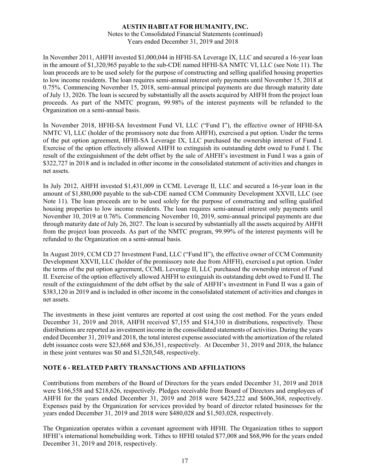Notes to the Consolidated Financial Statements (continued) Years ended December 31, 2019 and 2018

In November 2011, AHFH invested \$1,000,044 in HFHI-SA Leverage IX, LLC and secured a 16-year loan in the amount of \$1,320,965 payable to the sub-CDE named HFHI-SA NMTC VI, LLC (see Note 11). The loan proceeds are to be used solely for the purpose of constructing and selling qualified housing properties to low income residents. The loan requires semi-annual interest only payments until November 15, 2018 at 0.75%. Commencing November 15, 2018, semi-annual principal payments are due through maturity date of July 13, 2026. The loan is secured by substantially all the assets acquired by AHFH from the project loan proceeds. As part of the NMTC program, 99.98% of the interest payments will be refunded to the Organization on a semi-annual basis.

In November 2018, HFHI-SA Investment Fund VI, LLC ("Fund I"), the effective owner of HFHI-SA NMTC VI, LLC (holder of the promissory note due from AHFH), exercised a put option. Under the terms of the put option agreement, HFHI-SA Leverage IX, LLC purchased the ownership interest of Fund I. Exercise of the option effectively allowed AHFH to extinguish its outstanding debt owed to Fund I. The result of the extinguishment of the debt offset by the sale of AHFH's investment in Fund I was a gain of \$322,727 in 2018 and is included in other income in the consolidated statement of activities and changes in net assets.

In July 2012, AHFH invested \$1,431,009 in CCML Leverage II, LLC and secured a 16-year loan in the amount of \$1,880,000 payable to the sub-CDE named CCM Community Development XXVII, LLC (see Note 11). The loan proceeds are to be used solely for the purpose of constructing and selling qualified housing properties to low income residents. The loan requires semi-annual interest only payments until November 10, 2019 at 0.76%. Commencing November 10, 2019, semi-annual principal payments are due through maturity date of July 26, 2027. The loan is secured by substantially all the assets acquired by AHFH from the project loan proceeds. As part of the NMTC program, 99.99% of the interest payments will be refunded to the Organization on a semi-annual basis.

In August 2019, CCM CD 27 Investment Fund, LLC ("Fund II"), the effective owner of CCM Community Development XXVII, LLC (holder of the promissory note due from AHFH), exercised a put option. Under the terms of the put option agreement, CCML Leverage II, LLC purchased the ownership interest of Fund II. Exercise of the option effectively allowed AHFH to extinguish its outstanding debt owed to Fund II. The result of the extinguishment of the debt offset by the sale of AHFH's investment in Fund II was a gain of \$383,120 in 2019 and is included in other income in the consolidated statement of activities and changes in net assets.

The investments in these joint ventures are reported at cost using the cost method. For the years ended December 31, 2019 and 2018, AHFH received \$7,155 and \$14,310 in distributions, respectively. These distributions are reported as investment income in the consolidated statements of activities. During the years ended December 31, 2019 and 2018, the total interest expense associated with the amortization of the related debt issuance costs were \$23,668 and \$36,351, respectively. At December 31, 2019 and 2018, the balance in these joint ventures was \$0 and \$1,520,548, respectively.

#### **NOTE 6 - RELATED PARTY TRANSACTIONS AND AFFILIATIONS**

Contributions from members of the Board of Directors for the years ended December 31, 2019 and 2018 were \$166,558 and \$218,626, respectively. Pledges receivable from Board of Directors and employees of AHFH for the years ended December 31, 2019 and 2018 were \$425,222 and \$606,368, respectively. Expenses paid by the Organization for services provided by board of director related businesses for the years ended December 31, 2019 and 2018 were \$480,028 and \$1,503,028, respectively.

The Organization operates within a covenant agreement with HFHI. The Organization tithes to support HFHI's international homebuilding work. Tithes to HFHI totaled \$77,008 and \$68,996 for the years ended December 31, 2019 and 2018, respectively.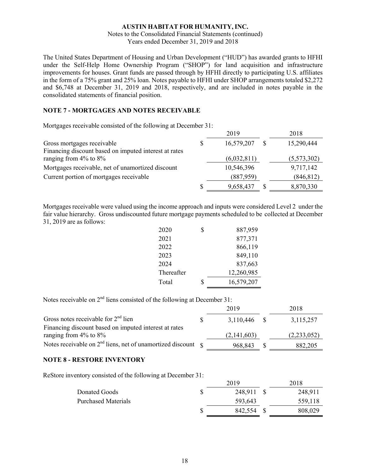#### Notes to the Consolidated Financial Statements (continued) Years ended December 31, 2019 and 2018

The United States Department of Housing and Urban Development ("HUD") has awarded grants to HFHI under the Self-Help Home Ownership Program ("SHOP") for land acquisition and infrastructure improvements for houses. Grant funds are passed through by HFHI directly to participating U.S. affiliates in the form of a 75% grant and 25% loan. Notes payable to HFHI under SHOP arrangements totaled \$2,272 and \$6,748 at December 31, 2019 and 2018, respectively, and are included in notes payable in the consolidated statements of financial position.

#### **NOTE 7 - MORTGAGES AND NOTES RECEIVABLE**

Mortgages receivable consisted of the following at December 31:

|                                                       |   | 2019        | 2018        |
|-------------------------------------------------------|---|-------------|-------------|
| Gross mortgages receivable                            | S | 16,579,207  | 15,290,444  |
| Financing discount based on imputed interest at rates |   |             |             |
| ranging from $4\%$ to $8\%$                           |   | (6,032,811) | (5,573,302) |
| Mortgages receivable, net of unamortized discount     |   | 10,546,396  | 9,717,142   |
| Current portion of mortgages receivable               |   | (887, 959)  | (846, 812)  |
|                                                       | S | 9,658,437   | 8,870,330   |

Mortgages receivable were valued using the income approach and inputs were considered Level 2 under the fair value hierarchy. Gross undiscounted future mortgage payments scheduled to be collected at December 31, 2019 are as follows:

| 2020       | S | 887,959    |
|------------|---|------------|
| 2021       |   | 877,371    |
| 2022       |   | 866,119    |
| 2023       |   | 849,110    |
| 2024       |   | 837,663    |
| Thereafter |   | 12,260,985 |
| Total      | ፍ | 16,579,207 |

Notes receivable on  $2<sup>nd</sup>$  liens consisted of the following at December 31:

|                                                                   | 2019        | 2018        |
|-------------------------------------------------------------------|-------------|-------------|
| Gross notes receivable for $2nd$ lien                             | 3,110,446   | 3,115,257   |
| Financing discount based on imputed interest at rates             |             |             |
| ranging from $4\%$ to $8\%$                                       | (2,141,603) | (2,233,052) |
| Notes receivable on $2nd$ liens, net of unamortized discount $\S$ | 968,843     | 882,205     |

#### **NOTE 8 - RESTORE INVENTORY**

ReStore inventory consisted of the following at December 31:

| 2018    |
|---------|
| 248,911 |
| 559,118 |
| 808,029 |
|         |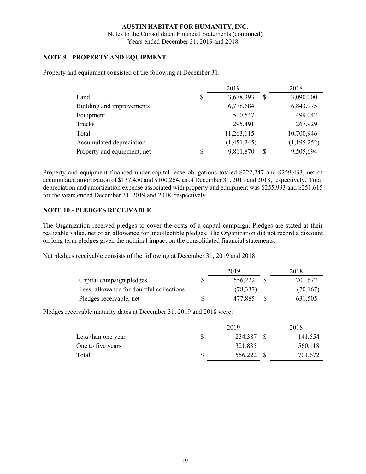Notes to the Consolidated Financial Statements (continued) Years ended December 31, 2019 and 2018

#### **NOTE 9 - PROPERTY AND EQUIPMENT**

Property and equipment consisted of the following at December 31:

|                             | 2019            |          | 2018          |  |
|-----------------------------|-----------------|----------|---------------|--|
| Land                        | \$<br>3,678,393 | S        | 3,090,000     |  |
| Building and improvements   | 6,778,684       |          | 6,843,975     |  |
| Equipment                   | 510,547         |          | 499,042       |  |
| Trucks                      | 295,491         |          | 267,929       |  |
| Total                       | 11,263,115      |          | 10,700,946    |  |
| Accumulated depreciation    | (1,451,245)     |          | (1, 195, 252) |  |
| Property and equipment, net | \$<br>9,811,870 | <b>S</b> | 9,505,694     |  |

Property and equipment financed under capital lease obligations totaled \$222,247 and \$259,433, net of accumulated amortization of \$137,450 and \$100,264, as of December 31, 2019 and 2018, respectively. Total depreciation and amortization expense associated with property and equipment was \$255,993 and \$251,615 for the years ended December 31, 2019 and 2018, respectively.

#### **NOTE 10 - PLEDGES RECEIVABLE**

The Organization received pledges to cover the costs of a capital campaign. Pledges are stated at their realizable value, net of an allowance for uncollectible pledges. The Organization did not record a discount on long term pledges given the nominal impact on the consolidated financial statements.

Net pledges receivable consists of the following at December 31, 2019 and 2018:

|                                          | 2019      | 2018      |
|------------------------------------------|-----------|-----------|
| Capital campaign pledges                 | 556,222   | 701,672   |
| Less: allowance for doubtful collections | (78, 337) | (70, 167) |
| Pledges receivable, net                  | 477.885   | 631,505   |

Pledges receivable maturity dates at December 31, 2019 and 2018 were:

|                    | 2019    | 2018    |
|--------------------|---------|---------|
| Less than one year | 234,387 | 141,554 |
| One to five years  | 321,835 | 560,118 |
| Total              | 556,222 | 701,672 |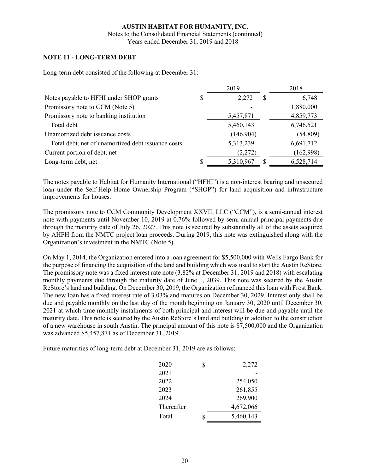Notes to the Consolidated Financial Statements (continued) Years ended December 31, 2019 and 2018

#### **NOTE 11 - LONG-TERM DEBT**

Long-term debt consisted of the following at December 31:

|                                                    |   | 2019       | 2018      |
|----------------------------------------------------|---|------------|-----------|
| Notes payable to HFHI under SHOP grants            | S | 2,272<br>S | 6,748     |
| Promissory note to CCM (Note 5)                    |   |            | 1,880,000 |
| Promissory note to banking institution             |   | 5,457,871  | 4,859,773 |
| Total debt                                         |   | 5,460,143  | 6,746,521 |
| Unamortized debt issuance costs                    |   | (146,904)  | (54, 809) |
| Total debt, net of unamortized debt issuance costs |   | 5,313,239  | 6,691,712 |
| Current portion of debt, net                       |   | (2,272)    | (162,998) |
| Long-term debt, net                                |   | 5,310,967  | 6,528,714 |

The notes payable to Habitat for Humanity International ("HFHI") is a non-interest bearing and unsecured loan under the Self-Help Home Ownership Program ("SHOP") for land acquisition and infrastructure improvements for houses.

The promissory note to CCM Community Development XXVII, LLC ("CCM"), is a semi-annual interest note with payments until November 10, 2019 at 0.76% followed by semi-annual principal payments due through the maturity date of July 26, 2027. This note is secured by substantially all of the assets acquired by AHFH from the NMTC project loan proceeds. During 2019, this note was extinguished along with the Organization's investment in the NMTC (Note 5).

On May 1, 2014, the Organization entered into a loan agreement for \$5,500,000 with Wells Fargo Bank for the purpose of financing the acquisition of the land and building which was used to start the Austin ReStore. The promissory note was a fixed interest rate note (3.82% at December 31, 2019 and 2018) with escalating monthly payments due through the maturity date of June 1, 2039. This note was secured by the Austin ReStore's land and building. On December 30, 2019, the Organization refinanced this loan with Frost Bank. The new loan has a fixed interest rate of 3.03% and matures on December 30, 2029. Interest only shall be due and payable monthly on the last day of the month beginning on January 30, 2020 until December 30, 2021 at which time monthly installments of both principal and interest will be due and payable until the maturity date. This note is secured by the Austin ReStore's land and building in addition to the construction of a new warehouse in south Austin. The principal amount of this note is \$7,500,000 and the Organization was advanced \$5,457,871 as of December 31, 2019.

Future maturities of long-term debt at December 31, 2019 are as follows:

| 2020       | \$ | 2,272     |
|------------|----|-----------|
| 2021       |    |           |
| 2022       |    | 254,050   |
| 2023       |    | 261,855   |
| 2024       |    | 269,900   |
| Thereafter |    | 4,672,066 |
| Total      | S  | 5,460,143 |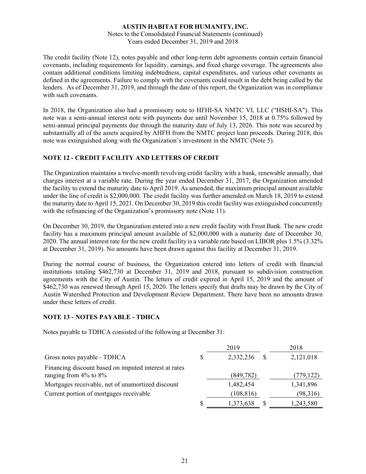Notes to the Consolidated Financial Statements (continued) Years ended December 31, 2019 and 2018

The credit facility (Note 12), notes payable and other long-term debt agreements contain certain financial covenants, including requirements for liquidity, earnings, and fixed charge coverage. The agreements also contain additional conditions limiting indebtedness, capital expenditures, and various other covenants as defined in the agreements. Failure to comply with the covenants could result in the debt being called by the lenders. As of December 31, 2019, and through the date of this report, the Organization was in compliance with such covenants.

In 2018, the Organization also had a promissory note to HFHI-SA NMTC VI, LLC ("HSHI-SA"). This note was a semi-annual interest note with payments due until November 15, 2018 at 0.75% followed by semi-annual principal payments due through the maturity date of July 13, 2026. This note was secured by substantially all of the assets acquired by AHFH from the NMTC project loan proceeds. During 2018, this note was extinguished along with the Organization's investment in the NMTC (Note 5).

#### **NOTE 12 - CREDIT FACILITY AND LETTERS OF CREDIT**

The Organization maintains a twelve-month revolving credit facility with a bank, renewable annually, that charges interest at a variable rate. During the year ended December 31, 2017, the Organization amended the facility to extend the maturity date to April 2019. As amended, the maximum principal amount available under the line of credit is \$2,000,000. The credit facility was further amended on March 18, 2019 to extend the maturity date to April 15, 2021. On December 30, 2019 this credit facility was extinguished concurrently with the refinancing of the Organization's promissory note (Note 11).

On December 30, 2019, the Organization entered into a new credit facility with Frost Bank. The new credit facility has a maximum principal amount available of \$2,000,000 with a maturity date of December 30, 2020. The annual interest rate for the new credit facility is a variable rate based on LIBOR plus 1.5% (3.32% at December 31, 2019). No amounts have been drawn against this facility at December 31, 2019.

During the normal course of business, the Organization entered into letters of credit with financial institutions totaling \$462,730 at December 31, 2019 and 2018, pursuant to subdivision construction agreements with the City of Austin. The letters of credit expired in April 15, 2019 and the amount of \$462,730 was renewed through April 15, 2020. The letters specify that drafts may be drawn by the City of Austin Watershed Protection and Development Review Department. There have been no amounts drawn under these letters of credit.

#### **NOTE 13 - NOTES PAYABLE - TDHCA**

Notes payable to TDHCA consisted of the following at December 31:

|   | 2019       |            | 2018       |
|---|------------|------------|------------|
| S | 2,332,236  |            | 2,121,018  |
|   |            |            | (779, 122) |
|   | 1,482,454  |            | 1,341,896  |
|   | (108, 816) |            | (98,316)   |
| S | 1,373,638  |            | 1,243,580  |
|   |            | (849, 782) |            |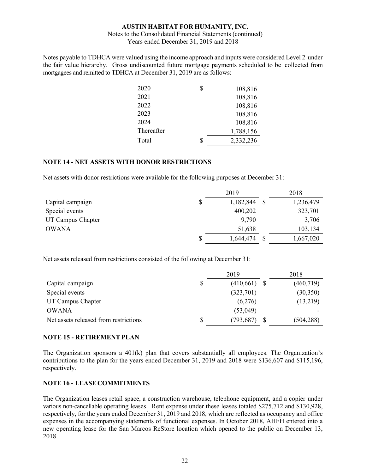#### Notes to the Consolidated Financial Statements (continued) Years ended December 31, 2019 and 2018

Notes payable to TDHCA were valued using the income approach and inputs were considered Level 2 under the fair value hierarchy. Gross undiscounted future mortgage payments scheduled to be collected from mortgagees and remitted to TDHCA at December 31, 2019 are as follows:

| 2020       | \$<br>108,816   |  |
|------------|-----------------|--|
| 2021       | 108,816         |  |
| 2022       | 108,816         |  |
| 2023       | 108,816         |  |
| 2024       | 108,816         |  |
| Thereafter | 1,788,156       |  |
| Total      | \$<br>2,332,236 |  |

#### **NOTE 14 - NET ASSETS WITH DONOR RESTRICTIONS**

Net assets with donor restrictions were available for the following purposes at December 31:

|                   |    | 2019      | 2018      |
|-------------------|----|-----------|-----------|
| Capital campaign  | \$ | 1,182,844 | 1,236,479 |
| Special events    |    | 400,202   | 323,701   |
| UT Campus Chapter |    | 9,790     | 3,706     |
| <b>OWANA</b>      |    | 51,638    | 103,134   |
|                   | S  | 1,644,474 | 1,667,020 |

Net assets released from restrictions consisted of the following at December 31:

|                                       |    | 2019       | 2018       |
|---------------------------------------|----|------------|------------|
| Capital campaign                      | \$ | (410,661)  | (460, 719) |
| Special events                        |    | (323,701)  | (30,350)   |
| UT Campus Chapter                     |    | (6,276)    | (13,219)   |
| <b>OWANA</b>                          |    | (53, 049)  |            |
| Net assets released from restrictions | S  | (793, 687) | (504, 288) |

#### **NOTE 15 - RETIREMENT PLAN**

The Organization sponsors a  $401(k)$  plan that covers substantially all employees. The Organization's contributions to the plan for the years ended December 31, 2019 and 2018 were \$136,607 and \$115,196, respectively.

#### **NOTE 16 - LEASE COMMITMENTS**

The Organization leases retail space, a construction warehouse, telephone equipment, and a copier under various non-cancellable operating leases. Rent expense under these leases totaled \$275,712 and \$130,928, respectively, for the years ended December 31, 2019 and 2018, which are reflected as occupancy and office expenses in the accompanying statements of functional expenses. In October 2018, AHFH entered into a new operating lease for the San Marcos ReStore location which opened to the public on December 13, 2018.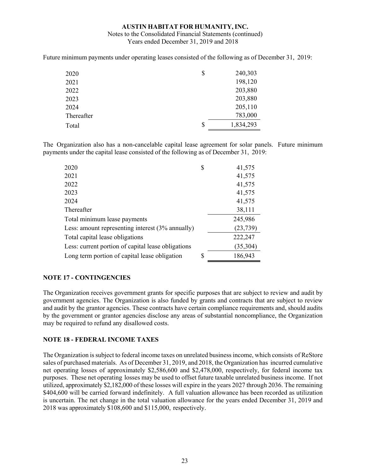#### Notes to the Consolidated Financial Statements (continued) Years ended December 31, 2019 and 2018

Future minimum payments under operating leases consisted of the following as of December 31, 2019:

| 2020       | \$<br>240,303   |  |
|------------|-----------------|--|
| 2021       | 198,120         |  |
| 2022       | 203,880         |  |
| 2023       | 203,880         |  |
| 2024       | 205,110         |  |
| Thereafter | 783,000         |  |
| Total      | \$<br>1,834,293 |  |

The Organization also has a non-cancelable capital lease agreement for solar panels. Future minimum payments under the capital lease consisted of the following as of December 31, 2019:

| 2020                                               | \$<br>41,575  |
|----------------------------------------------------|---------------|
| 2021                                               | 41,575        |
| 2022                                               | 41,575        |
| 2023                                               | 41,575        |
| 2024                                               | 41,575        |
| Thereafter                                         | 38,111        |
| Total minimum lease payments                       | 245,986       |
| Less: amount representing interest (3% annually)   | (23, 739)     |
| Total capital lease obligations                    | 222,247       |
| Less: current portion of capital lease obligations | (35,304)      |
| Long term portion of capital lease obligation      | \$<br>186,943 |

#### **NOTE 17 - CONTINGENCIES**

The Organization receives government grants for specific purposes that are subject to review and audit by government agencies. The Organization is also funded by grants and contracts that are subject to review and audit by the grantor agencies. These contracts have certain compliance requirements and, should audits by the government or grantor agencies disclose any areas of substantial noncompliance, the Organization may be required to refund any disallowed costs.

#### **NOTE 18 - FEDERAL INCOME TAXES**

The Organization is subject to federal income taxes on unrelated business income, which consists of ReStore sales of purchased materials. As of December 31, 2019, and 2018, the Organization has incurred cumulative net operating losses of approximately \$2,586,600 and \$2,478,000, respectively, for federal income tax purposes. These net operating losses may be used to offset future taxable unrelated business income. If not utilized, approximately \$2,182,000 of these losses will expire in the years 2027 through 2036. The remaining \$404,600 will be carried forward indefinitely. A full valuation allowance has been recorded as utilization is uncertain. The net change in the total valuation allowance for the years ended December 31, 2019 and 2018 was approximately \$108,600 and \$115,000, respectively.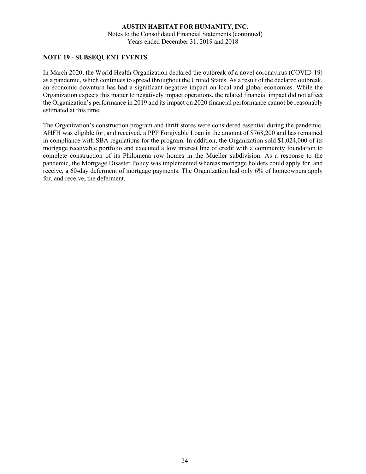Notes to the Consolidated Financial Statements (continued) Years ended December 31, 2019 and 2018

#### **NOTE 19 - SUBSEQUENT EVENTS**

In March 2020, the World Health Organization declared the outbreak of a novel coronavirus (COVID-19) as a pandemic, which continues to spread throughout the United States. As a result of the declared outbreak, an economic downturn has had a significant negative impact on local and global economies. While the Organization expects this matter to negatively impact operations, the related financial impact did not affect the Organization's performance in 2019 and its impact on 2020 financial performance cannot be reasonably estimated at this time.

The Organization's construction program and thrift stores were considered essential during the pandemic. AHFH was eligible for, and received, a PPP Forgivable Loan in the amount of \$768,200 and has remained in compliance with SBA regulations for the program. In addition, the Organization sold \$1,024,000 of its mortgage receivable portfolio and executed a low interest line of credit with a community foundation to complete construction of its Philomena row homes in the Mueller subdivision. As a response to the pandemic, the Mortgage Disaster Policy was implemented whereas mortgage holders could apply for, and receive, a 60-day deferment of mortgage payments. The Organization had only 6% of homeowners apply for, and receive, the deferment.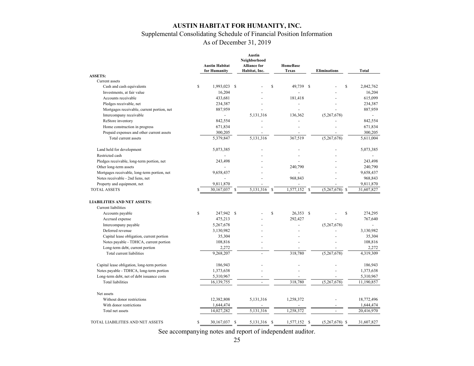## Supplemental Consolidating Schedule of Financial Position Information

As of December 31, 2019

|                                                                            |             | <b>Austin Habitat</b><br>for Humanity |              | Austin<br>Neighborhood<br><b>Alliance for</b><br>Habitat, Inc. |                    | <b>HomeBase</b><br><b>Texas</b> | <b>Eliminations</b>          | <b>Total</b> |
|----------------------------------------------------------------------------|-------------|---------------------------------------|--------------|----------------------------------------------------------------|--------------------|---------------------------------|------------------------------|--------------|
| <b>ASSETS:</b>                                                             |             |                                       |              |                                                                |                    |                                 |                              |              |
| Current assets<br>Cash and cash equivalents                                | \$          | 1,993,023                             | <sup>S</sup> |                                                                | $\mathbf{\hat{S}}$ | 49,739<br>-S                    | \$                           | 2,042,762    |
| Investments, at fair value                                                 |             | 16,204                                |              |                                                                |                    |                                 |                              | 16,204       |
| Accounts receivable                                                        |             | 433,681                               |              |                                                                |                    | 181,418                         |                              | 615,099      |
| Pledges receivable, net                                                    |             | 234,387                               |              |                                                                |                    |                                 |                              | 234,387      |
| Mortgages receivable, current portion, net                                 |             | 887,959                               |              |                                                                |                    |                                 |                              | 887,959      |
| Intercompany receivable                                                    |             | $\blacksquare$                        |              | 5,131,316                                                      |                    | 136,362                         | (5,267,678)                  |              |
| ReStore inventory                                                          |             | 842,554                               |              |                                                                |                    |                                 |                              | 842,554      |
|                                                                            |             | 671,834                               |              |                                                                |                    |                                 |                              | 671,834      |
| Home construction in progress<br>Prepaid expenses and other current assets |             | 300,205                               |              |                                                                |                    |                                 |                              | 300,205      |
| Total current assets                                                       |             | 5,379,847                             |              | 5,131,316                                                      |                    | 367,519                         | (5,267,678)                  | 5,611,004    |
|                                                                            |             |                                       |              |                                                                |                    |                                 |                              |              |
| Land held for development                                                  |             | 5,073,385                             |              |                                                                |                    |                                 |                              | 5,073,385    |
| Restricted cash                                                            |             |                                       |              |                                                                |                    |                                 |                              |              |
| Pledges receivable, long-term portion, net                                 |             | 243,498                               |              |                                                                |                    |                                 |                              | 243,498      |
| Other long-term assets                                                     |             |                                       |              |                                                                |                    | 240,790                         |                              | 240,790      |
| Mortgages receivable, long-term portion, net                               |             | 9,658,437                             |              |                                                                |                    |                                 |                              | 9,658,437    |
| Notes receivable - 2nd liens, net                                          |             |                                       |              |                                                                |                    | 968,843                         |                              | 968,843      |
| Property and equipment, net                                                |             | 9,811,870                             |              |                                                                |                    |                                 |                              | 9,811,870    |
| <b>TOTAL ASSETS</b>                                                        |             | 30,167,037                            |              | 5,131,316                                                      | <sup>S</sup>       | 1,577,152<br><sup>\$</sup>      | (5,267,678)<br><sup>\$</sup> | 31,607,827   |
| <b>LIABILITIES AND NET ASSETS:</b>                                         |             |                                       |              |                                                                |                    |                                 |                              |              |
| Current liabilities                                                        |             |                                       |              |                                                                |                    |                                 |                              |              |
| Accounts payable                                                           | $\mathbf S$ | 247,942 \$                            |              |                                                                | Ŝ                  | 26,353<br>-S                    | <sup>\$</sup>                | 274,295      |
| Accrued expense                                                            |             | 475,213                               |              |                                                                |                    | 292,427                         |                              | 767,640      |
| Intercompany payable                                                       |             | 5,267,678                             |              |                                                                |                    |                                 | (5,267,678)                  |              |
| Deferred revenue                                                           |             | 3,130,982                             |              |                                                                |                    |                                 |                              | 3,130,982    |
| Capital lease obligation, current portion                                  |             | 35,304                                |              |                                                                |                    |                                 |                              | 35,304       |
| Notes payable - TDHCA, current portion                                     |             | 108,816                               |              |                                                                |                    |                                 |                              | 108,816      |
| Long-term debt, current portion                                            |             | 2,272                                 |              |                                                                |                    |                                 |                              | 2,272        |
| Total current liabilities                                                  |             | 9,268,207                             |              |                                                                |                    | 318,780                         | (5,267,678)                  | 4,319,309    |
|                                                                            |             |                                       |              |                                                                |                    |                                 |                              |              |
| Capital lease obligation, long-term portion                                |             | 186,943                               |              |                                                                |                    |                                 |                              | 186,943      |
| Notes payable - TDHCA, long-term portion                                   |             | 1,373,638                             |              |                                                                |                    |                                 |                              | 1,373,638    |
| Long-term debt, net of debt issuance costs                                 |             | 5,310,967                             |              |                                                                |                    |                                 |                              | 5,310,967    |
| <b>Total liabilities</b>                                                   |             | 16,139,755                            |              | $\overline{\phantom{a}}$                                       |                    | 318,780                         | (5, 267, 678)                | 11,190,857   |
| Net assets                                                                 |             |                                       |              |                                                                |                    |                                 |                              |              |
| Without donor restrictions                                                 |             | 12,382,808                            |              | 5,131,316                                                      |                    | 1,258,372                       |                              | 18,772,496   |
| With donor restrictions                                                    |             | 1,644,474                             |              |                                                                |                    |                                 |                              | 1,644,474    |
| Total net assets                                                           |             | 14,027,282                            |              | 5,131,316                                                      |                    | 1,258,372                       |                              | 20,416,970   |
| TOTAL LIABILITIES AND NET ASSETS                                           | \$          | 30,167,037                            | -S           | 5,131,316 \$                                                   |                    | 1,577,152 \$                    | $(5,267,678)$ \$             | 31,607,827   |